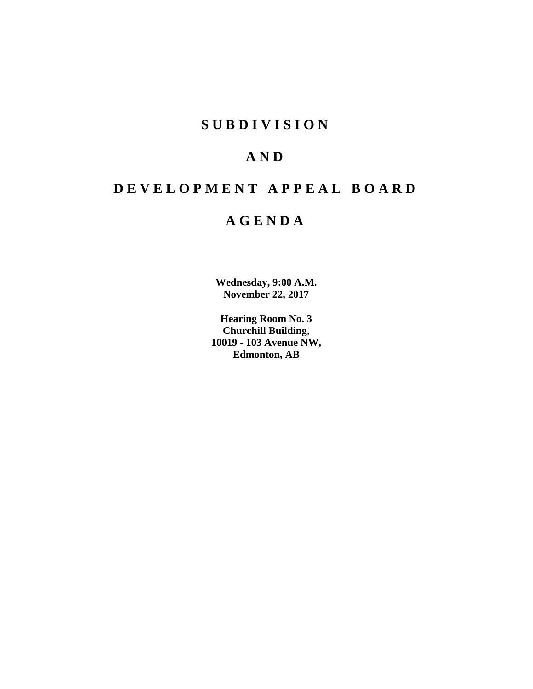### **SUBDIVISION**

### **AND**

### **DEVELOPMENT APPEAL BOARD**

### **AGENDA**

**Wednesday, 9:00 A.M. November 22, 2017**

**Hearing Room No. 3 Churchill Building, 10019 - 103 Avenue NW, Edmonton, AB**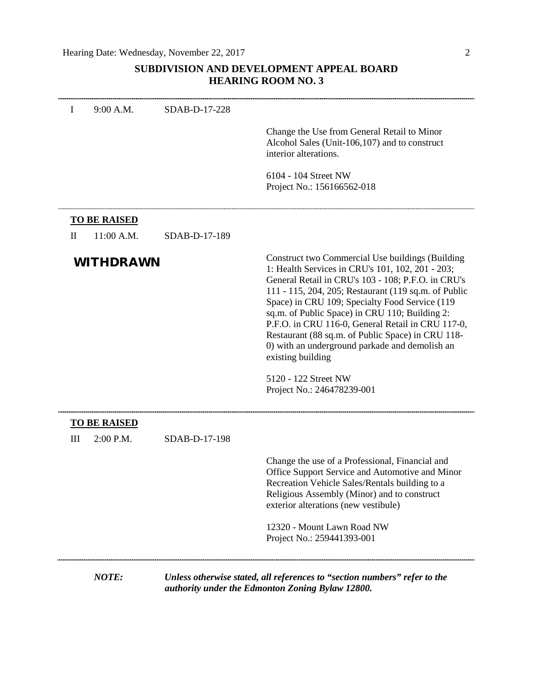### **SUBDIVISION AND DEVELOPMENT APPEAL BOARD HEARING ROOM NO. 3**

| I            | 9:00 A.M.                        | SDAB-D-17-228 |                                                                                                                                                                                                                                                                                                                                                                                                                                                                                                                                                               |
|--------------|----------------------------------|---------------|---------------------------------------------------------------------------------------------------------------------------------------------------------------------------------------------------------------------------------------------------------------------------------------------------------------------------------------------------------------------------------------------------------------------------------------------------------------------------------------------------------------------------------------------------------------|
|              |                                  |               | Change the Use from General Retail to Minor<br>Alcohol Sales (Unit-106,107) and to construct<br>interior alterations.                                                                                                                                                                                                                                                                                                                                                                                                                                         |
|              |                                  |               | 6104 - 104 Street NW<br>Project No.: 156166562-018                                                                                                                                                                                                                                                                                                                                                                                                                                                                                                            |
|              | <b>TO BE RAISED</b>              |               |                                                                                                                                                                                                                                                                                                                                                                                                                                                                                                                                                               |
| $\mathbf{I}$ | 11:00 A.M.                       | SDAB-D-17-189 |                                                                                                                                                                                                                                                                                                                                                                                                                                                                                                                                                               |
|              | <b>WITHDRAWN</b>                 |               | Construct two Commercial Use buildings (Building<br>1: Health Services in CRU's 101, 102, 201 - 203;<br>General Retail in CRU's 103 - 108; P.F.O. in CRU's<br>111 - 115, 204, 205; Restaurant (119 sq.m. of Public<br>Space) in CRU 109; Specialty Food Service (119<br>sq.m. of Public Space) in CRU 110; Building 2:<br>P.F.O. in CRU 116-0, General Retail in CRU 117-0,<br>Restaurant (88 sq.m. of Public Space) in CRU 118-<br>0) with an underground parkade and demolish an<br>existing building<br>5120 - 122 Street NW<br>Project No.: 246478239-001 |
|              |                                  |               |                                                                                                                                                                                                                                                                                                                                                                                                                                                                                                                                                               |
| Ш            | <b>TO BE RAISED</b><br>2:00 P.M. | SDAB-D-17-198 |                                                                                                                                                                                                                                                                                                                                                                                                                                                                                                                                                               |
|              |                                  |               | Change the use of a Professional, Financial and<br>Office Support Service and Automotive and Minor<br>Recreation Vehicle Sales/Rentals building to a<br>Religious Assembly (Minor) and to construct<br>exterior alterations (new vestibule)                                                                                                                                                                                                                                                                                                                   |
|              |                                  |               | 12320 - Mount Lawn Road NW<br>Project No.: 259441393-001                                                                                                                                                                                                                                                                                                                                                                                                                                                                                                      |
|              | NOTE:                            |               | Unless otherwise stated, all references to "section numbers" refer to the<br>authority under the Edmonton Zoning Bylaw 12800.                                                                                                                                                                                                                                                                                                                                                                                                                                 |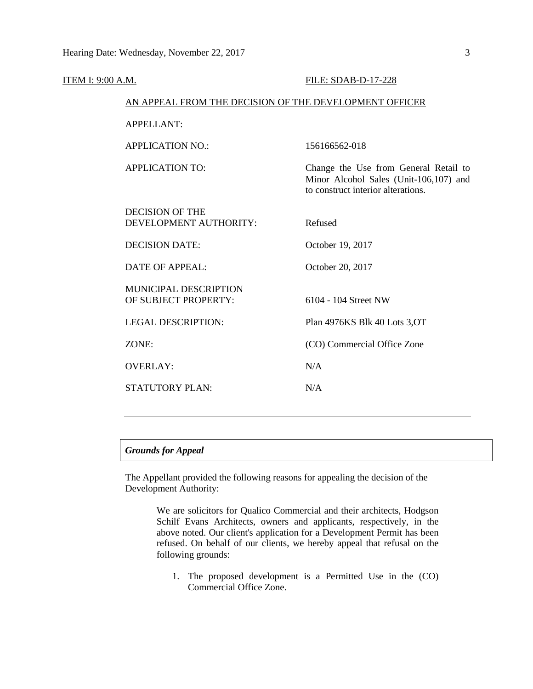| <b>ITEM I: 9:00 A.M.</b> |                                                        | <b>FILE: SDAB-D-17-228</b>                                                                                            |  |  |
|--------------------------|--------------------------------------------------------|-----------------------------------------------------------------------------------------------------------------------|--|--|
|                          | AN APPEAL FROM THE DECISION OF THE DEVELOPMENT OFFICER |                                                                                                                       |  |  |
|                          | <b>APPELLANT:</b>                                      |                                                                                                                       |  |  |
|                          | <b>APPLICATION NO.:</b>                                | 156166562-018                                                                                                         |  |  |
|                          | <b>APPLICATION TO:</b>                                 | Change the Use from General Retail to<br>Minor Alcohol Sales (Unit-106,107) and<br>to construct interior alterations. |  |  |
|                          | <b>DECISION OF THE</b><br>DEVELOPMENT AUTHORITY:       | Refused                                                                                                               |  |  |
|                          | <b>DECISION DATE:</b>                                  | October 19, 2017                                                                                                      |  |  |
|                          | <b>DATE OF APPEAL:</b>                                 | October 20, 2017                                                                                                      |  |  |
|                          | <b>MUNICIPAL DESCRIPTION</b><br>OF SUBJECT PROPERTY:   | 6104 - 104 Street NW                                                                                                  |  |  |
|                          | <b>LEGAL DESCRIPTION:</b>                              | Plan 4976KS Blk 40 Lots 3, OT                                                                                         |  |  |
|                          | ZONE:                                                  | (CO) Commercial Office Zone                                                                                           |  |  |
|                          | <b>OVERLAY:</b>                                        | N/A                                                                                                                   |  |  |
|                          | <b>STATUTORY PLAN:</b>                                 | N/A                                                                                                                   |  |  |
|                          |                                                        |                                                                                                                       |  |  |

#### *Grounds for Appeal*

The Appellant provided the following reasons for appealing the decision of the Development Authority:

> We are solicitors for Qualico Commercial and their architects, Hodgson Schilf Evans Architects, owners and applicants, respectively, in the above noted. Our client's application for a Development Permit has been refused. On behalf of our clients, we hereby appeal that refusal on the following grounds:

1. The proposed development is a Permitted Use in the (CO) Commercial Office Zone.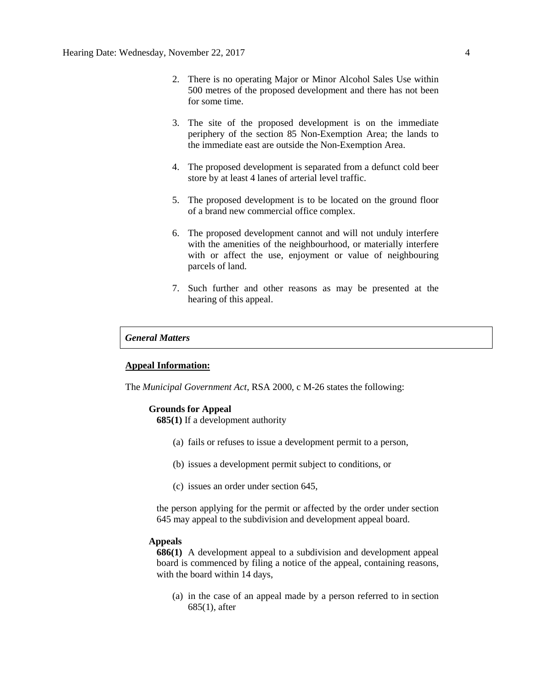- 2. There is no operating Major or Minor Alcohol Sales Use within 500 metres of the proposed development and there has not been for some time.
- 3. The site of the proposed development is on the immediate periphery of the section 85 Non-Exemption Area; the lands to the immediate east are outside the Non-Exemption Area.
- 4. The proposed development is separated from a defunct cold beer store by at least 4 lanes of arterial level traffic.
- 5. The proposed development is to be located on the ground floor of a brand new commercial office complex.
- 6. The proposed development cannot and will not unduly interfere with the amenities of the neighbourhood, or materially interfere with or affect the use, enjoyment or value of neighbouring parcels of land.
- 7. Such further and other reasons as may be presented at the hearing of this appeal.

#### *General Matters*

#### **Appeal Information:**

The *Municipal Government Act*, RSA 2000, c M-26 states the following:

#### **Grounds for Appeal**

**685(1)** If a development authority

- (a) fails or refuses to issue a development permit to a person,
- (b) issues a development permit subject to conditions, or
- (c) issues an order under section 645,

the person applying for the permit or affected by the order under section 645 may appeal to the subdivision and development appeal board.

#### **Appeals**

**686(1)** A development appeal to a subdivision and development appeal board is commenced by filing a notice of the appeal, containing reasons, with the board within 14 days,

(a) in the case of an appeal made by a person referred to in section 685(1), after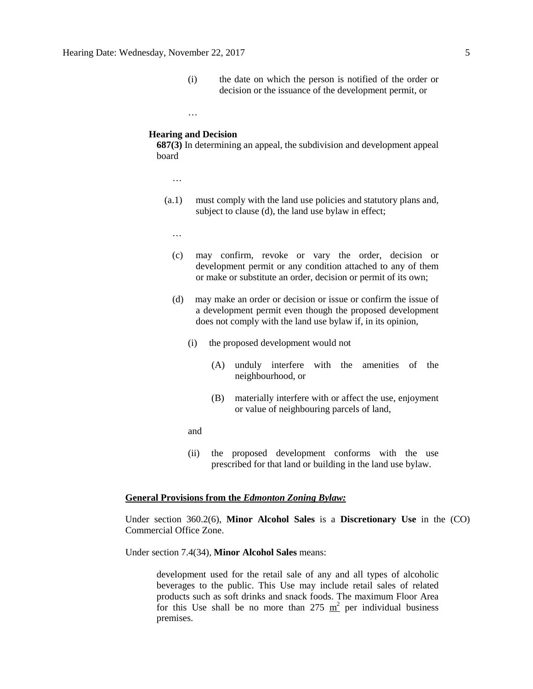(i) the date on which the person is notified of the order or decision or the issuance of the development permit, or

#### **Hearing and Decision**

…

**687(3)** In determining an appeal, the subdivision and development appeal board

- …
- (a.1) must comply with the land use policies and statutory plans and, subject to clause (d), the land use bylaw in effect;
	- …
	- (c) may confirm, revoke or vary the order, decision or development permit or any condition attached to any of them or make or substitute an order, decision or permit of its own;
	- (d) may make an order or decision or issue or confirm the issue of a development permit even though the proposed development does not comply with the land use bylaw if, in its opinion,
		- (i) the proposed development would not
			- (A) unduly interfere with the amenities of the neighbourhood, or
			- (B) materially interfere with or affect the use, enjoyment or value of neighbouring parcels of land,
		- and
		- (ii) the proposed development conforms with the use prescribed for that land or building in the land use bylaw.

#### **General Provisions from the** *Edmonton Zoning Bylaw:*

Under section 360.2(6), **Minor Alcohol Sales** is a **Discretionary Use** in the (CO) Commercial Office Zone.

Under section 7.4(34), **Minor Alcohol Sales** means:

development used for the retail sale of any and all types of alcoholic beverages to the public. This Use may include retail sales of related products such as soft drinks and snack foods. The maximum Floor Area for this Use shall be no more than 275  $m^2$  per individual business premises.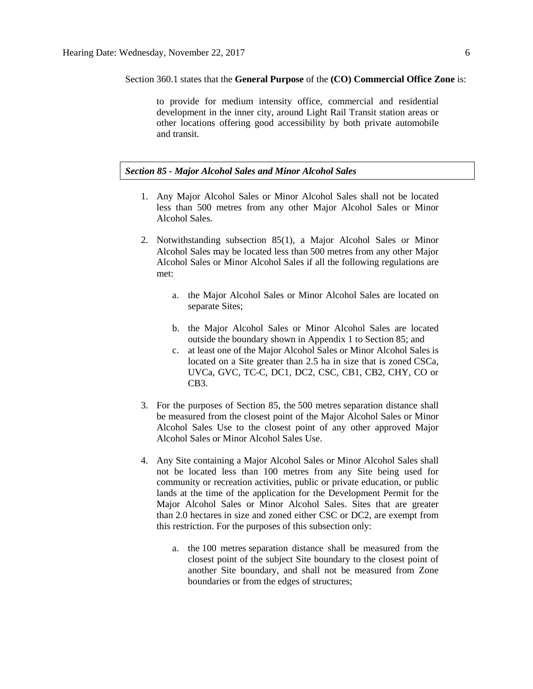#### Section 360.1 states that the **General Purpose** of the **(CO) Commercial Office Zone** is:

to provide for medium intensity office, commercial and residential development in the inner city, around Light Rail Transit station areas or other locations offering good accessibility by both private automobile and transit.

#### *Section 85 - Major Alcohol Sales and Minor Alcohol Sales*

- 1. Any Major Alcohol Sales or Minor Alcohol Sales shall not be located less than 500 metres from any other Major Alcohol Sales or Minor Alcohol Sales.
- 2. Notwithstanding subsection 85(1), a Major Alcohol Sales or Minor Alcohol Sales may be located less than [500 me](javascript:void(0);)tres from any other Major Alcohol Sales or Minor Alcohol Sales if all the following regulations are met:
	- a. the Major Alcohol Sales or Minor Alcohol Sales are located on separate Sites;
	- b. the Major Alcohol Sales or Minor Alcohol Sales are located outside the boundary shown in Appendix 1 to Section 85; and
	- c. at least one of the Major Alcohol Sales or Minor Alcohol Sales is located on a Site greater than 2.5 ha in size that is zoned CSCa, UVCa, GVC, TC-C, DC1, DC2, CSC, CB1, CB2, CHY, CO or CB3.
- 3. For the purposes of Section 85, the 500 metres separation distance shall be measured from the closest point of the Major Alcohol Sales or Minor Alcohol Sales Use to the closest point of any other approved Major Alcohol Sales or Minor Alcohol Sales Use.
- 4. Any Site containing a Major Alcohol Sales or Minor Alcohol Sales shall not be located less than 100 metres from any Site being used for community or recreation activities, public or private education, or public lands at the time of the application for the Development Permit for the Major Alcohol Sales or Minor Alcohol Sales. Sites that are greater than 2.0 hectares in size and zoned either CSC or DC2, are exempt from this restriction. For the purposes of this subsection only:
	- a. the [100 me](http://webdocs.edmonton.ca/InfraPlan/zoningbylaw/ZoningBylaw/Measurements/im100.htm)tres separation distance shall be measured from the closest point of the subject Site boundary to the closest point of another Site boundary, and shall not be measured from Zone boundaries or from the edges of structures;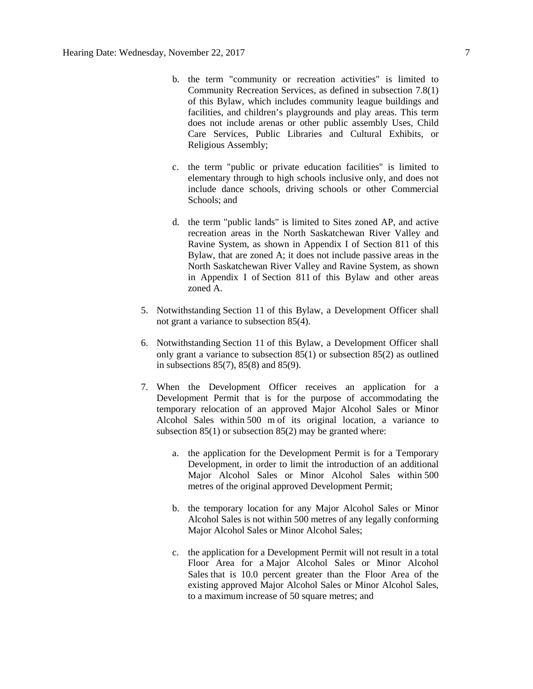- b. the term "community or recreation activities" is limited to Community Recreation Services, as defined in subsection 7.8(1) of this Bylaw, which includes community league buildings and facilities, and children's playgrounds and play areas. This term does not include arenas or other public assembly Uses, Child Care Services, Public Libraries and Cultural Exhibits, or Religious Assembly;
- c. the term "public or private education facilities" is limited to elementary through to high schools inclusive only, and does not include dance schools, driving schools or other Commercial Schools; and
- d. the term "public lands" is limited to Sites zoned AP, and active recreation areas in the North Saskatchewan River Valley and Ravine System, as shown in Appendix I of Section 811 of this Bylaw, that are zoned A; it does not include passive areas in the North Saskatchewan River Valley and Ravine System, as shown in Appendix I of [Section 811](http://webdocs.edmonton.ca/InfraPlan/zoningbylaw/ZoningBylaw/Part2/Overlays/811_North_Saskatchewan_River_Valley_and_Ravine_System_Protection_Overlay.htm) of this Bylaw and other areas zoned A.
- 5. Notwithstanding [Section 11](http://webdocs.edmonton.ca/InfraPlan/zoningbylaw/ZoningBylaw/Part1/Administrative/11__Authority_and_Responsibility_of_the_Development_Officer.htm) of this Bylaw, a Development Officer shall not grant a variance to subsection 85(4).
- 6. Notwithstanding [Section 11](http://webdocs.edmonton.ca/InfraPlan/zoningbylaw/ZoningBylaw/Part1/Administrative/11__Authority_and_Responsibility_of_the_Development_Officer.htm) of this Bylaw, a Development Officer shall only grant a variance to subsection 85(1) or subsection 85(2) as outlined in subsections 85(7), 85(8) and 85(9).
- 7. When the Development Officer receives an application for a Development Permit that is for the purpose of accommodating the temporary relocation of an approved Major Alcohol Sales or Minor Alcohol Sales within [500 m](javascript:void(0);) of its original location, a variance to subsection 85(1) or subsection 85(2) may be granted where:
	- a. the application for the Development Permit is for a Temporary Development, in order to limit the introduction of an additional Major Alcohol Sales or Minor Alcohol Sales within [500](javascript:void(0);)  [me](javascript:void(0);)tres of the original approved Development Permit;
	- b. the temporary location for any Major Alcohol Sales or Minor Alcohol Sales is not within [500 me](javascript:void(0);)tres of any legally conforming Major Alcohol Sales or Minor Alcohol Sales;
	- c. the application for a Development Permit will not result in a total Floor Area for a Major Alcohol Sales or Minor Alcohol Sales that is 10.0 percent greater than the Floor Area of the existing approved Major Alcohol Sales or Minor Alcohol Sales, to a maximum increase of [50 square](http://webdocs.edmonton.ca/InfraPlan/zoningbylaw/ZoningBylaw/Measurements/ia50.htm) metres; and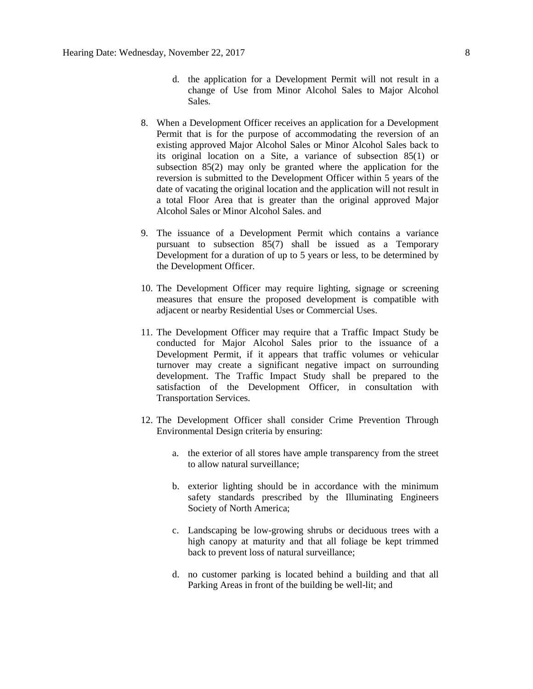- d. the application for a Development Permit will not result in a change of Use from Minor Alcohol Sales to Major Alcohol Sales.
- 8. When a Development Officer receives an application for a Development Permit that is for the purpose of accommodating the reversion of an existing approved Major Alcohol Sales or Minor Alcohol Sales back to its original location on a Site, a variance of subsection 85(1) or subsection 85(2) may only be granted where the application for the reversion is submitted to the Development Officer within 5 years of the date of vacating the original location and the application will not result in a total Floor Area that is greater than the original approved Major Alcohol Sales or Minor Alcohol Sales. and
- 9. The issuance of a Development Permit which contains a variance pursuant to subsection 85(7) shall be issued as a Temporary Development for a duration of up to 5 years or less, to be determined by the Development Officer.
- 10. The Development Officer may require lighting, signage or screening measures that ensure the proposed development is compatible with adjacent or nearby Residential Uses or Commercial Uses.
- 11. The Development Officer may require that a Traffic Impact Study be conducted for Major Alcohol Sales prior to the issuance of a Development Permit, if it appears that traffic volumes or vehicular turnover may create a significant negative impact on surrounding development. The Traffic Impact Study shall be prepared to the satisfaction of the Development Officer, in consultation with Transportation Services.
- 12. The Development Officer shall consider Crime Prevention Through Environmental Design criteria by ensuring:
	- a. the exterior of all stores have ample transparency from the street to allow natural surveillance;
	- b. exterior lighting should be in accordance with the minimum safety standards prescribed by the Illuminating Engineers Society of North America;
	- c. Landscaping be low-growing shrubs or deciduous trees with a high canopy at maturity and that all foliage be kept trimmed back to prevent loss of natural surveillance;
	- d. no customer parking is located behind a building and that all Parking Areas in front of the building be well-lit; and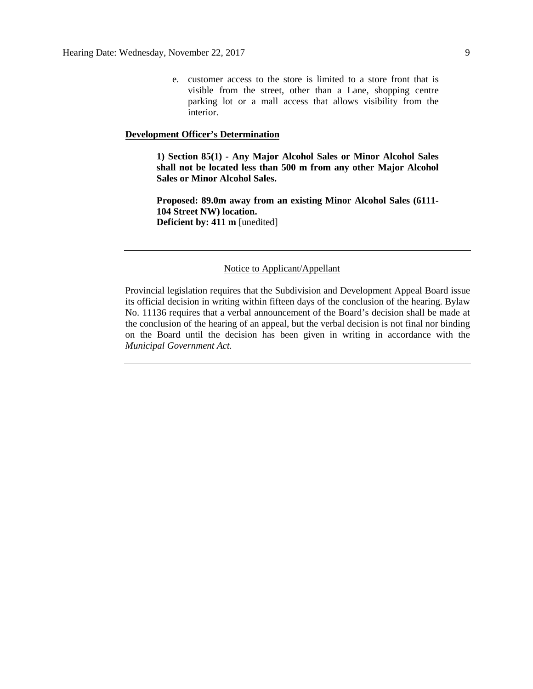e. customer access to the store is limited to a store front that is visible from the street, other than a Lane, shopping centre parking lot or a mall access that allows visibility from the interior.

#### **Development Officer's Determination**

**1) Section 85(1) - Any Major Alcohol Sales or Minor Alcohol Sales shall not be located less than 500 m from any other Major Alcohol Sales or Minor Alcohol Sales.**

**Proposed: 89.0m away from an existing Minor Alcohol Sales (6111- 104 Street NW) location. Deficient by: 411 m** [unedited]

#### Notice to Applicant/Appellant

Provincial legislation requires that the Subdivision and Development Appeal Board issue its official decision in writing within fifteen days of the conclusion of the hearing. Bylaw No. 11136 requires that a verbal announcement of the Board's decision shall be made at the conclusion of the hearing of an appeal, but the verbal decision is not final nor binding on the Board until the decision has been given in writing in accordance with the *Municipal Government Act.*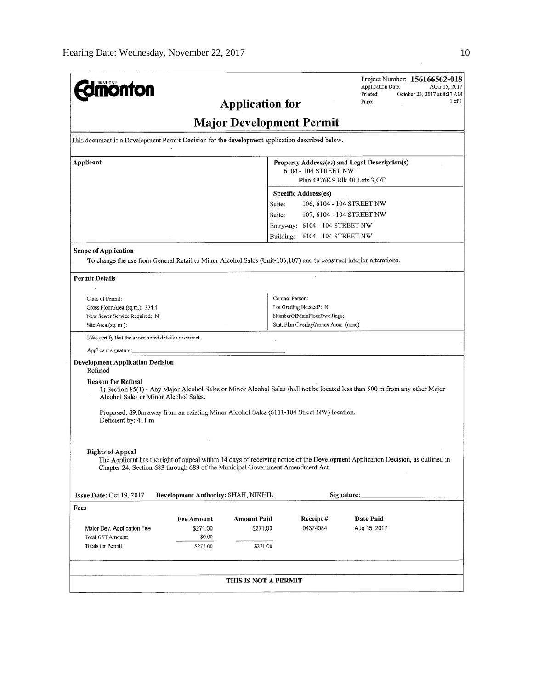| <b>dinonton</b>                                                                                                    |                                                                                                                                                                      |                                 |                                       | Project Number: 156166562-018<br><b>Application Date:</b><br>AUG 15, 2017                                                        |  |  |
|--------------------------------------------------------------------------------------------------------------------|----------------------------------------------------------------------------------------------------------------------------------------------------------------------|---------------------------------|---------------------------------------|----------------------------------------------------------------------------------------------------------------------------------|--|--|
|                                                                                                                    | Printed:<br>October 23, 2017 at 8:37 AM<br>1 of 1<br>Page:                                                                                                           |                                 |                                       |                                                                                                                                  |  |  |
|                                                                                                                    |                                                                                                                                                                      | <b>Application for</b>          |                                       |                                                                                                                                  |  |  |
|                                                                                                                    |                                                                                                                                                                      | <b>Major Development Permit</b> |                                       |                                                                                                                                  |  |  |
| This document is a Development Permit Decision for the development application described below.                    |                                                                                                                                                                      |                                 |                                       |                                                                                                                                  |  |  |
| Applicant                                                                                                          |                                                                                                                                                                      |                                 | 6104 - 104 STREET NW                  | Property Address(es) and Legal Description(s)                                                                                    |  |  |
|                                                                                                                    |                                                                                                                                                                      |                                 |                                       | Plan 4976KS Blk 40 Lots 3,OT                                                                                                     |  |  |
|                                                                                                                    |                                                                                                                                                                      |                                 | Specific Address(es)                  |                                                                                                                                  |  |  |
|                                                                                                                    |                                                                                                                                                                      | Suite:                          |                                       | 106, 6104 - 104 STREET NW                                                                                                        |  |  |
|                                                                                                                    |                                                                                                                                                                      |                                 |                                       |                                                                                                                                  |  |  |
|                                                                                                                    |                                                                                                                                                                      | Suite:                          |                                       | 107, 6104 - 104 STREET NW                                                                                                        |  |  |
|                                                                                                                    |                                                                                                                                                                      |                                 | Entryway: 6104 - 104 STREET NW        |                                                                                                                                  |  |  |
|                                                                                                                    |                                                                                                                                                                      | Building:                       | 6104 - 104 STREET NW                  |                                                                                                                                  |  |  |
| Scope of Application                                                                                               |                                                                                                                                                                      |                                 |                                       |                                                                                                                                  |  |  |
| To change the use from General Retail to Minor Alcohol Sales (Unit-106,107) and to construct interior alterations. |                                                                                                                                                                      |                                 |                                       |                                                                                                                                  |  |  |
| <b>Permit Details</b>                                                                                              |                                                                                                                                                                      |                                 |                                       |                                                                                                                                  |  |  |
|                                                                                                                    |                                                                                                                                                                      |                                 |                                       |                                                                                                                                  |  |  |
| Class of Permit:                                                                                                   |                                                                                                                                                                      |                                 | Contact Person:                       |                                                                                                                                  |  |  |
| Gross Floor Area (sq.m.): 274.4                                                                                    |                                                                                                                                                                      |                                 | Lot Grading Needed?: N                |                                                                                                                                  |  |  |
| New Sewer Service Required: N                                                                                      |                                                                                                                                                                      |                                 | NumberOfMainFloorDwellings:           |                                                                                                                                  |  |  |
| Site Area (sq. m.):                                                                                                |                                                                                                                                                                      |                                 | Stat. Plan Overlay/Annex Area: (none) |                                                                                                                                  |  |  |
| I/We certify that the above noted details are correct.                                                             |                                                                                                                                                                      |                                 |                                       |                                                                                                                                  |  |  |
| Applicant signature:                                                                                               |                                                                                                                                                                      |                                 |                                       |                                                                                                                                  |  |  |
| <b>Development Application Decision</b><br>Refused                                                                 |                                                                                                                                                                      |                                 |                                       |                                                                                                                                  |  |  |
| <b>Reason for Refusal</b>                                                                                          | 1) Section 85(1) - Any Major Alcohol Sales or Minor Alcohol Sales shall not be located less than 500 m from any other Major<br>Alcohol Sales or Minor Alcohol Sales. |                                 |                                       |                                                                                                                                  |  |  |
| Proposed: 89.0m away from an existing Minor Alcohol Sales (6111-104 Street NW) location.                           |                                                                                                                                                                      |                                 |                                       |                                                                                                                                  |  |  |
| Deficient by: 411 m                                                                                                |                                                                                                                                                                      |                                 |                                       |                                                                                                                                  |  |  |
|                                                                                                                    |                                                                                                                                                                      |                                 |                                       |                                                                                                                                  |  |  |
| <b>Rights of Appeal</b><br>Chapter 24, Section 683 through 689 of the Municipal Government Amendment Act.          |                                                                                                                                                                      |                                 |                                       | The Applicant has the right of appeal within 14 days of receiving notice of the Development Application Decision, as outlined in |  |  |
| <b>Issue Date:</b> Oct $19, 2017$                                                                                  | Development Authority: SHAH, NIKHIL                                                                                                                                  |                                 |                                       | Signature:                                                                                                                       |  |  |
| Fees                                                                                                               |                                                                                                                                                                      |                                 |                                       |                                                                                                                                  |  |  |
|                                                                                                                    | Fee Amount                                                                                                                                                           | <b>Amount Paid</b>              | Receipt#                              | Date Paid                                                                                                                        |  |  |
| Major Dev. Application Fee                                                                                         | \$271.00                                                                                                                                                             | \$271.00                        | 04374084                              | Aug 15, 2017                                                                                                                     |  |  |
| Total GST Amount:                                                                                                  | \$0.00                                                                                                                                                               |                                 |                                       |                                                                                                                                  |  |  |
| Totals for Permit:                                                                                                 | \$271.00                                                                                                                                                             | \$271.00                        |                                       |                                                                                                                                  |  |  |
|                                                                                                                    |                                                                                                                                                                      |                                 |                                       |                                                                                                                                  |  |  |
|                                                                                                                    |                                                                                                                                                                      | THIS IS NOT A PERMIT            |                                       |                                                                                                                                  |  |  |
|                                                                                                                    |                                                                                                                                                                      |                                 |                                       |                                                                                                                                  |  |  |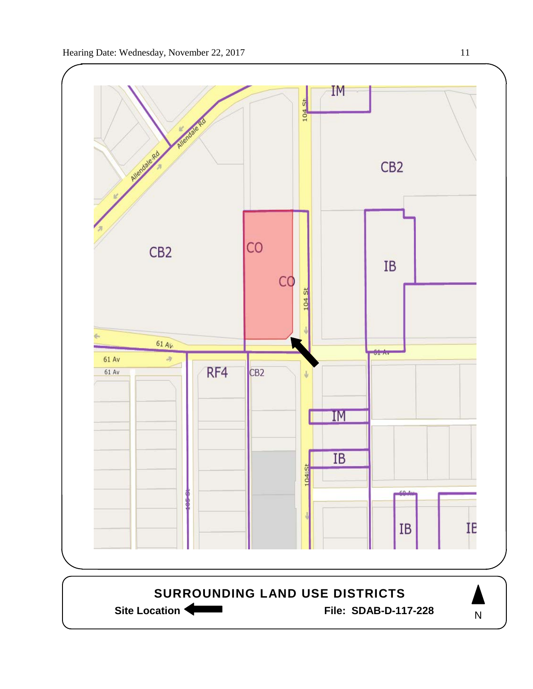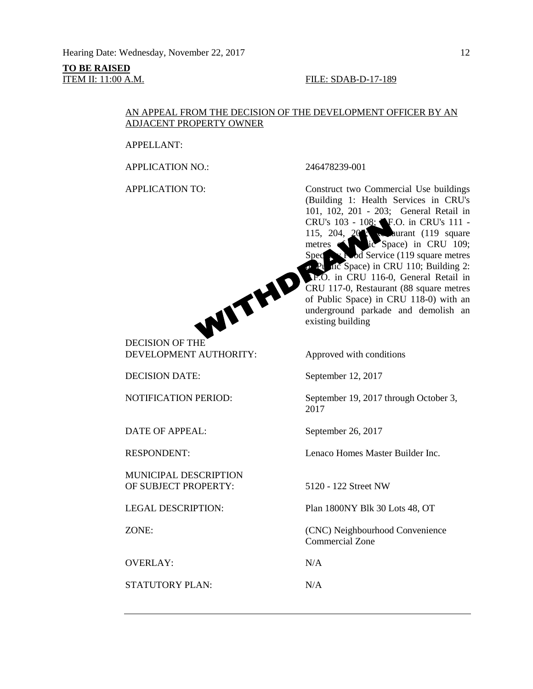# **TO BE RAISED**

#### **ITEM II: 11:00 A.M. FILE: SDAB-D-17-189**

#### AN APPEAL FROM THE DECISION OF THE DEVELOPMENT OFFICER BY AN ADJACENT PROPERTY OWNER

APPELLANT:

APPLICATION NO.: 246478239-001



DEVELOPMENT AUTHORITY: Approved with conditions

DATE OF APPEAL: September 26, 2017

MUNICIPAL DESCRIPTION OF SUBJECT PROPERTY: 5120 - 122 Street NW

OVERLAY: N/A

STATUTORY PLAN: N/A

APPLICATION TO: Construct two Commercial Use buildings (Building 1: Health Services in CRU's 101, 102, 201 - 203; General Retail in CRU's 103 - 108; F.O. in CRU's 111 -115, 204, 20<sup>5</sup>; Research (119 square metres contract is Space) in CRU 109; Specialty Food Service (119 square metres  $\rho$  Public Space) in CRU 110; Building 2: P.F.O. in CRU 116-0, General Retail in CRU 117-0, Restaurant (88 square metres of Public Space) in CRU 118-0) with an underground parkade and demolish an existing building

DECISION DATE: September 12, 2017

NOTIFICATION PERIOD: September 19, 2017 through October 3, 2017

RESPONDENT: Lenaco Homes Master Builder Inc.

LEGAL DESCRIPTION: Plan 1800NY Blk 30 Lots 48, OT

ZONE: (CNC) Neighbourhood Convenience Commercial Zone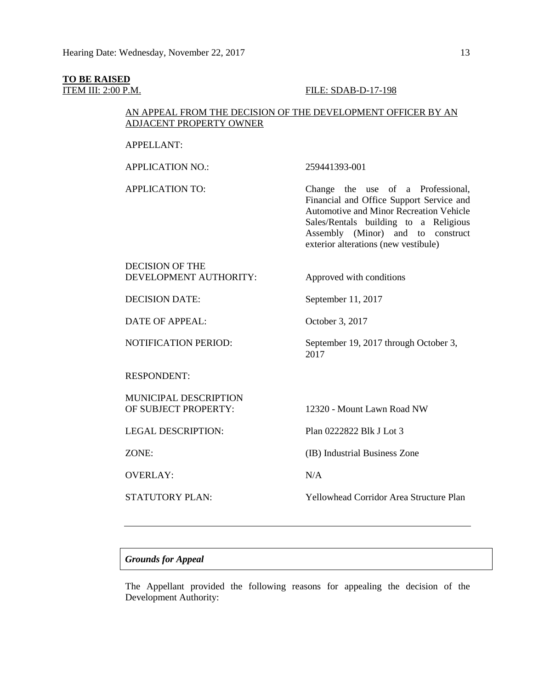## **TO BE RAISED**

#### **ITEM III: 2:00 P.M. FILE: SDAB-D-17-198**

#### AN APPEAL FROM THE DECISION OF THE DEVELOPMENT OFFICER BY AN ADJACENT PROPERTY OWNER

#### APPELLANT:

APPLICATION NO.: 259441393-001

APPLICATION TO: Change the use of a Professional, Financial and Office Support Service and Automotive and Minor Recreation Vehicle Sales/Rentals building to a Religious Assembly (Minor) and to construct exterior alterations (new vestibule)

#### DECISION OF THE DEVELOPMENT AUTHORITY: Approved with conditions

DECISION DATE: September 11, 2017

DATE OF APPEAL: October 3, 2017

RESPONDENT:

MUNICIPAL DESCRIPTION

OVERLAY: N/A

NOTIFICATION PERIOD: September 19, 2017 through October 3, 2017

OF SUBJECT PROPERTY: 12320 - Mount Lawn Road NW

LEGAL DESCRIPTION: Plan 0222822 Blk J Lot 3

ZONE: (IB) Industrial Business Zone

STATUTORY PLAN: Yellowhead Corridor Area Structure Plan

#### *Grounds for Appeal*

The Appellant provided the following reasons for appealing the decision of the Development Authority: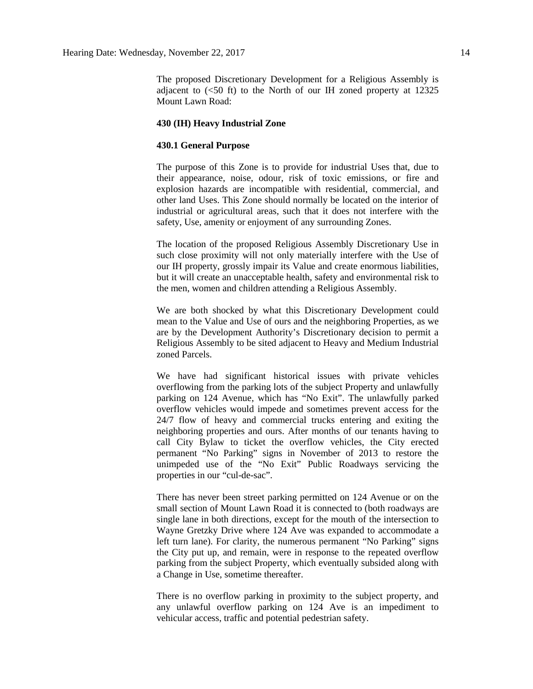The proposed Discretionary Development for a Religious Assembly is adjacent to  $\left( \leq 50 \right)$  ft) to the North of our IH zoned property at 12325 Mount Lawn Road:

#### **430 (IH) Heavy Industrial Zone**

#### **430.1 General Purpose**

The purpose of this Zone is to provide for industrial Uses that, due to their appearance, noise, odour, risk of toxic emissions, or fire and explosion hazards are incompatible with residential, commercial, and other land Uses. This Zone should normally be located on the interior of industrial or agricultural areas, such that it does not interfere with the safety, Use, amenity or enjoyment of any surrounding Zones.

The location of the proposed Religious Assembly Discretionary Use in such close proximity will not only materially interfere with the Use of our IH property, grossly impair its Value and create enormous liabilities, but it will create an unacceptable health, safety and environmental risk to the men, women and children attending a Religious Assembly.

We are both shocked by what this Discretionary Development could mean to the Value and Use of ours and the neighboring Properties, as we are by the Development Authority's Discretionary decision to permit a Religious Assembly to be sited adjacent to Heavy and Medium Industrial zoned Parcels.

We have had significant historical issues with private vehicles overflowing from the parking lots of the subject Property and unlawfully parking on 124 Avenue, which has "No Exit". The unlawfully parked overflow vehicles would impede and sometimes prevent access for the 24/7 flow of heavy and commercial trucks entering and exiting the neighboring properties and ours. After months of our tenants having to call City Bylaw to ticket the overflow vehicles, the City erected permanent "No Parking" signs in November of 2013 to restore the unimpeded use of the "No Exit" Public Roadways servicing the properties in our "cul-de-sac".

There has never been street parking permitted on 124 Avenue or on the small section of Mount Lawn Road it is connected to (both roadways are single lane in both directions, except for the mouth of the intersection to Wayne Gretzky Drive where 124 Ave was expanded to accommodate a left turn lane). For clarity, the numerous permanent "No Parking" signs the City put up, and remain, were in response to the repeated overflow parking from the subject Property, which eventually subsided along with a Change in Use, sometime thereafter.

There is no overflow parking in proximity to the subject property, and any unlawful overflow parking on 124 Ave is an impediment to vehicular access, traffic and potential pedestrian safety.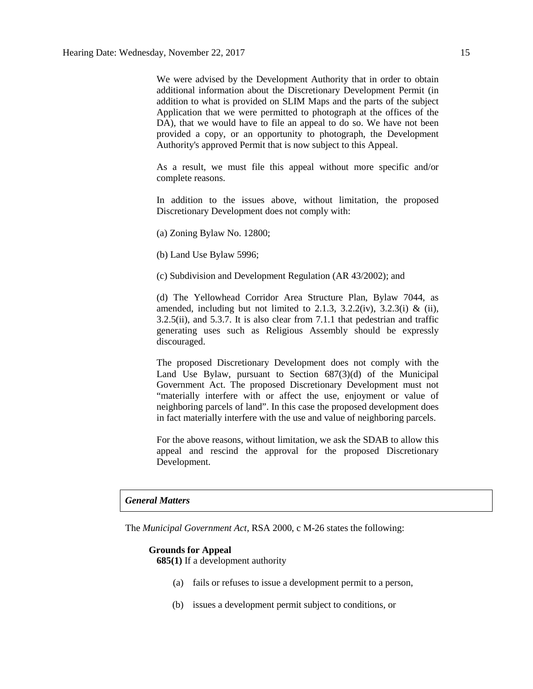We were advised by the Development Authority that in order to obtain additional information about the Discretionary Development Permit (in addition to what is provided on SLIM Maps and the parts of the subject Application that we were permitted to photograph at the offices of the DA), that we would have to file an appeal to do so. We have not been provided a copy, or an opportunity to photograph, the Development Authority's approved Permit that is now subject to this Appeal.

As a result, we must file this appeal without more specific and/or complete reasons.

In addition to the issues above, without limitation, the proposed Discretionary Development does not comply with:

(a) Zoning Bylaw No. 12800;

(b) Land Use Bylaw 5996;

(c) Subdivision and Development Regulation (AR 43/2002); and

(d) The Yellowhead Corridor Area Structure Plan, Bylaw 7044, as amended, including but not limited to 2.1.3, 3.2.2(iv), 3.2.3(i) & (ii), 3.2.5(ii), and 5.3.7. It is also clear from 7.1.1 that pedestrian and traffic generating uses such as Religious Assembly should be expressly discouraged.

The proposed Discretionary Development does not comply with the Land Use Bylaw, pursuant to Section 687(3)(d) of the Municipal Government Act. The proposed Discretionary Development must not "materially interfere with or affect the use, enjoyment or value of neighboring parcels of land". In this case the proposed development does in fact materially interfere with the use and value of neighboring parcels.

For the above reasons, without limitation, we ask the SDAB to allow this appeal and rescind the approval for the proposed Discretionary Development.

#### *General Matters*

The *Municipal Government Act*, RSA 2000, c M-26 states the following:

#### **Grounds for Appeal**

**685(1)** If a development authority

- (a) fails or refuses to issue a development permit to a person,
- (b) issues a development permit subject to conditions, or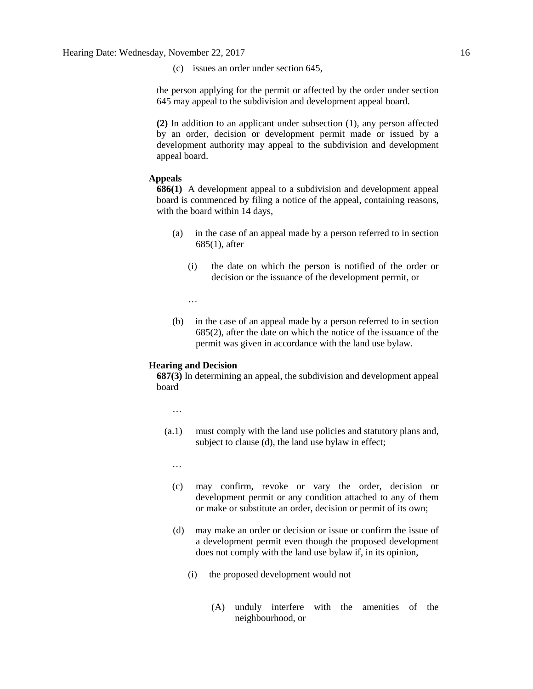(c) issues an order under section 645,

the person applying for the permit or affected by the order under section 645 may appeal to the subdivision and development appeal board.

**(2)** In addition to an applicant under subsection (1), any person affected by an order, decision or development permit made or issued by a development authority may appeal to the subdivision and development appeal board.

#### **Appeals**

**686(1)** A development appeal to a subdivision and development appeal board is commenced by filing a notice of the appeal, containing reasons, with the board within 14 days,

- (a) in the case of an appeal made by a person referred to in section 685(1), after
	- (i) the date on which the person is notified of the order or decision or the issuance of the development permit, or

…

(b) in the case of an appeal made by a person referred to in section 685(2), after the date on which the notice of the issuance of the permit was given in accordance with the land use bylaw.

#### **Hearing and Decision**

**687(3)** In determining an appeal, the subdivision and development appeal board

…

- (a.1) must comply with the land use policies and statutory plans and, subject to clause (d), the land use bylaw in effect;
	- …
	- (c) may confirm, revoke or vary the order, decision or development permit or any condition attached to any of them or make or substitute an order, decision or permit of its own;
	- (d) may make an order or decision or issue or confirm the issue of a development permit even though the proposed development does not comply with the land use bylaw if, in its opinion,
		- (i) the proposed development would not
			- (A) unduly interfere with the amenities of the neighbourhood, or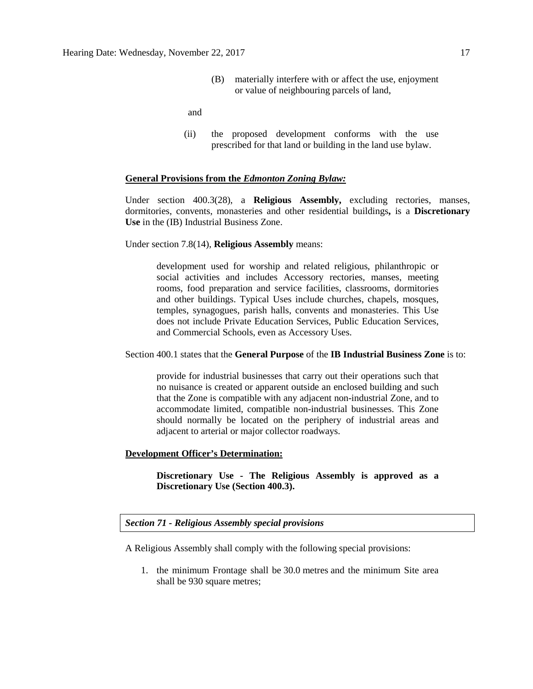(B) materially interfere with or affect the use, enjoyment or value of neighbouring parcels of land,

and

(ii) the proposed development conforms with the use prescribed for that land or building in the land use bylaw.

#### **General Provisions from the** *Edmonton Zoning Bylaw:*

Under section 400.3(28), a **Religious Assembly,** excluding rectories, manses, dormitories, convents, monasteries and other residential buildings**,** is a **Discretionary Use** in the (IB) Industrial Business Zone.

Under section 7.8(14), **Religious Assembly** means:

development used for worship and related religious, philanthropic or social activities and includes Accessory rectories, manses, meeting rooms, food preparation and service facilities, classrooms, dormitories and other buildings. Typical Uses include churches, chapels, mosques, temples, synagogues, parish halls, convents and monasteries. This Use does not include Private Education Services, Public Education Services, and Commercial Schools, even as Accessory Uses.

Section 400.1 states that the **General Purpose** of the **IB Industrial Business Zone** is to:

provide for industrial businesses that carry out their operations such that no nuisance is created or apparent outside an enclosed building and such that the Zone is compatible with any adjacent non-industrial Zone, and to accommodate limited, compatible non-industrial businesses. This Zone should normally be located on the periphery of industrial areas and adjacent to arterial or major collector roadways.

#### **Development Officer's Determination:**

**Discretionary Use - The Religious Assembly is approved as a Discretionary Use (Section 400.3).**

*Section 71 - Religious Assembly special provisions*

A Religious Assembly shall comply with the following special provisions:

1. the minimum Frontage shall be [30.0](javascript:void(0);) metres and the minimum Site area shall be 930 [square](javascript:void(0);) metres;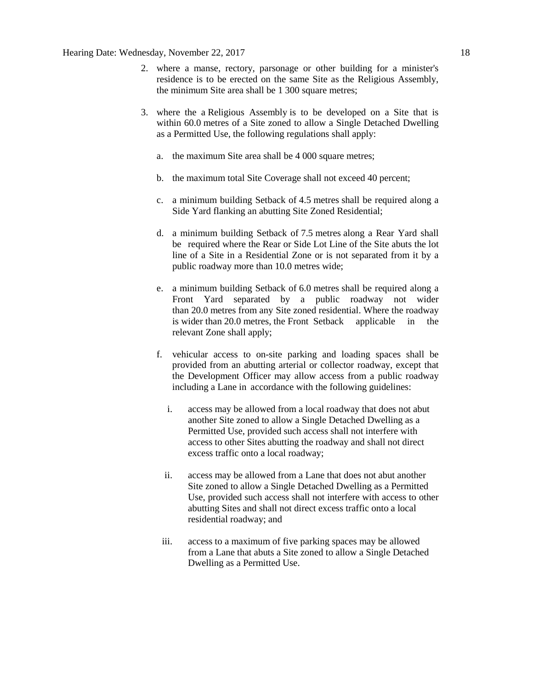- 2. where a manse, rectory, parsonage or other building for a minister's residence is to be erected on the same Site as the Religious Assembly, the minimum Site area shall be 1 300 [square](javascript:void(0);) metres;
- 3. where the a [Religious Assembly](javascript:void(0);) is to be developed on a Site that is within 60.0 metres of a Site zoned to allow a Single Detached Dwelling as a Permitted Use, the following regulations shall apply:
	- a. the maximum Site area shall be 4 000 [square](javascript:void(0);) metres;
	- b. the maximum total Site Coverage shall not exceed 40 percent;
	- c. a minimum building Setback of [4.5](javascript:void(0);) metres shall be required along a Side Yard flanking an abutting Site Zoned Residential;
	- d. a minimum building Setback of [7.5](javascript:void(0);) metres along a Rear Yard shall be required where the Rear or Side Lot Line of the Site abuts the lot line of a Site in a Residential Zone or is not separated from it by a public roadway more than [10.0](javascript:void(0);) metres wide;
	- e. a minimum building Setback of [6.0](javascript:void(0);) metres shall be required along a Front Yard separated by a public roadway not wider than [20.0](javascript:void(0);) metres from any Site zoned residential. Where the roadway is wider than [20.0](javascript:void(0);) metres, the Front Setback applicable in the relevant Zone shall apply;
	- f. vehicular access to on-site parking and loading spaces shall be provided from an abutting arterial or collector roadway, except that the Development Officer may allow access from a public roadway including a Lane in accordance with the following guidelines:
		- i. access may be allowed from a local roadway that does not abut another Site zoned to allow a Single Detached Dwelling as a Permitted Use, provided such access shall not interfere with access to other Sites abutting the roadway and shall not direct excess traffic onto a local roadway;
		- ii. access may be allowed from a Lane that does not abut another Site zoned to allow a Single Detached Dwelling as a Permitted Use, provided such access shall not interfere with access to other abutting Sites and shall not direct excess traffic onto a local residential roadway; and
	- iii. access to a maximum of five parking spaces may be allowed from a Lane that abuts a Site zoned to allow a Single Detached Dwelling as a Permitted Use.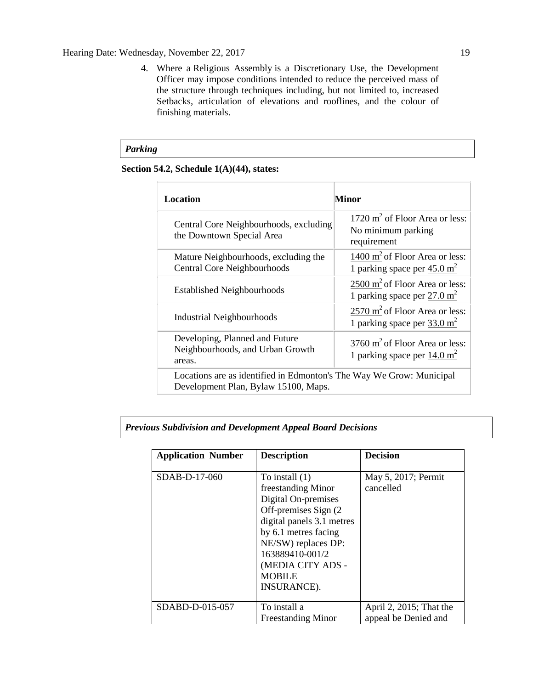#### Hearing Date: Wednesday, November 22, 2017 19

4. Where a [Religious Assembly](javascript:void(0);) is a Discretionary Use, the Development Officer may impose conditions intended to reduce the perceived mass of the structure through techniques including, but not limited to, increased Setbacks, articulation of elevations and rooflines, and the colour of finishing materials.

#### *Parking*

#### **Section 54.2, Schedule 1(A)(44), states:**

| Location                                                                                                     | Minor                                                                                |  |  |
|--------------------------------------------------------------------------------------------------------------|--------------------------------------------------------------------------------------|--|--|
| Central Core Neighbourhoods, excluding<br>the Downtown Special Area                                          | 1720 $m^2$ of Floor Area or less:<br>No minimum parking<br>requirement               |  |  |
| Mature Neighbourhoods, excluding the<br><b>Central Core Neighbourhoods</b>                                   | 1400 $m2$ of Floor Area or less:<br>1 parking space per $45.0 \text{ m}^2$           |  |  |
| <b>Established Neighbourhoods</b>                                                                            | 2500 m <sup>2</sup> of Floor Area or less:<br>1 parking space per $27.0 \text{ m}^2$ |  |  |
| Industrial Neighbourhoods                                                                                    | 2570 m <sup>2</sup> of Floor Area or less:<br>1 parking space per $33.0 \text{ m}^2$ |  |  |
| Developing, Planned and Future<br>Neighbourhoods, and Urban Growth<br>areas.                                 | 3760 $m2$ of Floor Area or less:<br>1 parking space per $14.0 \text{ m}^2$           |  |  |
| Locations are as identified in Edmonton's The Way We Grow: Municipal<br>Development Plan, Bylaw 15100, Maps. |                                                                                      |  |  |

#### *Previous Subdivision and Development Appeal Board Decisions*

| <b>Application Number</b> | <b>Description</b>                                                                                                                                                                                                                         | <b>Decision</b>                                 |
|---------------------------|--------------------------------------------------------------------------------------------------------------------------------------------------------------------------------------------------------------------------------------------|-------------------------------------------------|
| SDAB-D-17-060             | To install $(1)$<br>freestanding Minor<br>Digital On-premises<br>Off-premises Sign (2)<br>digital panels 3.1 metres<br>by 6.1 metres facing<br>NE/SW) replaces DP:<br>163889410-001/2<br>(MEDIA CITY ADS -<br><b>MOBILE</b><br>INSURANCE). | May 5, 2017; Permit<br>cancelled                |
| SDABD-D-015-057           | To install a<br><b>Freestanding Minor</b>                                                                                                                                                                                                  | April 2, 2015; That the<br>appeal be Denied and |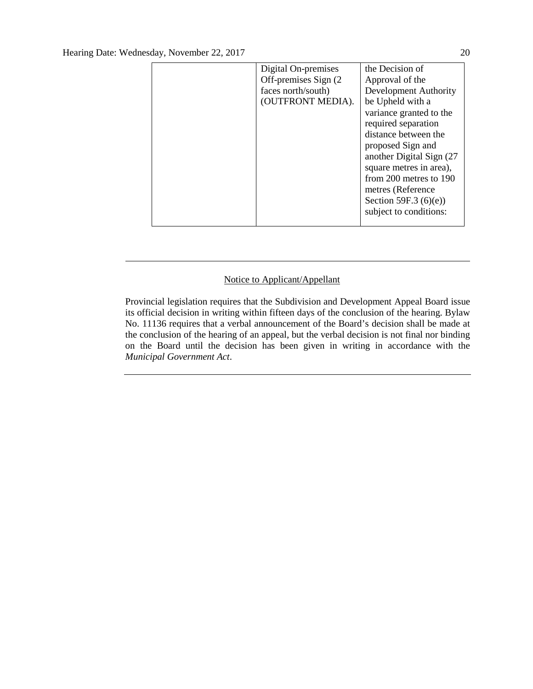| Digital On-premises   | the Decision of          |
|-----------------------|--------------------------|
| Off-premises Sign (2) | Approval of the          |
| faces north/south)    | Development Authority    |
| (OUTFRONT MEDIA).     | be Upheld with a         |
|                       | variance granted to the  |
|                       | required separation      |
|                       | distance between the     |
|                       | proposed Sign and        |
|                       | another Digital Sign (27 |
|                       | square metres in area),  |
|                       | from 200 metres to 190   |
|                       | metres (Reference        |
|                       | Section 59F.3 $(6)(e)$   |
|                       | subject to conditions:   |
|                       |                          |

#### Notice to Applicant/Appellant

Provincial legislation requires that the Subdivision and Development Appeal Board issue its official decision in writing within fifteen days of the conclusion of the hearing. Bylaw No. 11136 requires that a verbal announcement of the Board's decision shall be made at the conclusion of the hearing of an appeal, but the verbal decision is not final nor binding on the Board until the decision has been given in writing in accordance with the *Municipal Government Act*.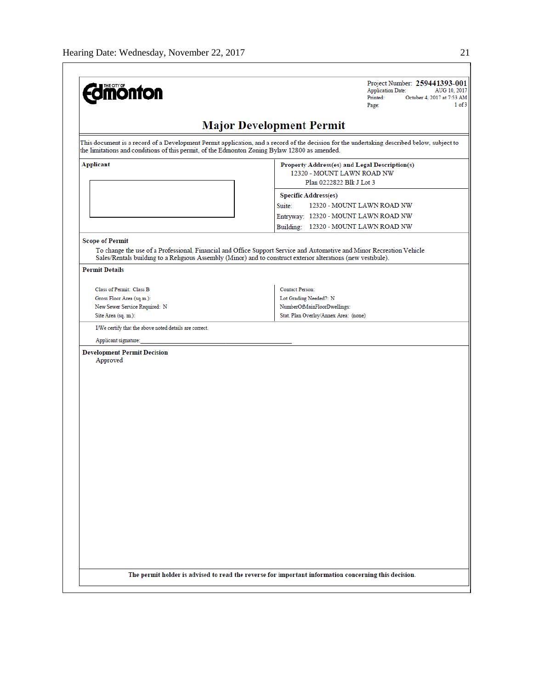| <b>Major Development Permit</b><br>This document is a record of a Development Permit application, and a record of the decision for the undertaking described below, subject to<br>the limitations and conditions of this permit, of the Edmonton Zoning Bylaw 12800 as amended.<br>Applicant<br><b>Specific Address(es)</b><br>Suite:<br>Building: 12320 - MOUNT LAWN ROAD NW<br><b>Scope of Permit</b><br>To change the use of a Professional, Financial and Office Support Service and Automotive and Minor Recreation Vehicle<br>Sales/Rentals building to a Religious Assembly (Minor) and to construct exterior alterations (new vestibule).<br><b>Permit Details</b><br>Class of Permit: Class B<br><b>Contact Person:</b><br>Lot Grading Needed?: N<br>Gross Floor Area (sq.m.):<br>NumberOfMainFloorDwellings:<br>New Sewer Service Required: N<br>Site Area (sq. m.):<br>Stat. Plan Overlay/Annex Area: (none)<br>I/We certify that the above noted details are correct.<br>Applicant signature:<br><b>Development Permit Decision</b><br>Approved | Project Number: 259441393-001<br><b>Application Date:</b><br>AUG 10, 2017<br>Printed:<br>October 4, 2017 at 7:53 AM<br>$1$ of $3$<br>Page: |
|-------------------------------------------------------------------------------------------------------------------------------------------------------------------------------------------------------------------------------------------------------------------------------------------------------------------------------------------------------------------------------------------------------------------------------------------------------------------------------------------------------------------------------------------------------------------------------------------------------------------------------------------------------------------------------------------------------------------------------------------------------------------------------------------------------------------------------------------------------------------------------------------------------------------------------------------------------------------------------------------------------------------------------------------------------------|--------------------------------------------------------------------------------------------------------------------------------------------|
|                                                                                                                                                                                                                                                                                                                                                                                                                                                                                                                                                                                                                                                                                                                                                                                                                                                                                                                                                                                                                                                             |                                                                                                                                            |
|                                                                                                                                                                                                                                                                                                                                                                                                                                                                                                                                                                                                                                                                                                                                                                                                                                                                                                                                                                                                                                                             |                                                                                                                                            |
|                                                                                                                                                                                                                                                                                                                                                                                                                                                                                                                                                                                                                                                                                                                                                                                                                                                                                                                                                                                                                                                             | Property Address(es) and Legal Description(s)<br>12320 - MOUNT LAWN ROAD NW<br>Plan 0222822 Blk J Lot 3                                    |
|                                                                                                                                                                                                                                                                                                                                                                                                                                                                                                                                                                                                                                                                                                                                                                                                                                                                                                                                                                                                                                                             | 12320 - MOUNT LAWN ROAD NW<br>Entryway: 12320 - MOUNT LAWN ROAD NW                                                                         |
|                                                                                                                                                                                                                                                                                                                                                                                                                                                                                                                                                                                                                                                                                                                                                                                                                                                                                                                                                                                                                                                             |                                                                                                                                            |
|                                                                                                                                                                                                                                                                                                                                                                                                                                                                                                                                                                                                                                                                                                                                                                                                                                                                                                                                                                                                                                                             |                                                                                                                                            |
|                                                                                                                                                                                                                                                                                                                                                                                                                                                                                                                                                                                                                                                                                                                                                                                                                                                                                                                                                                                                                                                             |                                                                                                                                            |
|                                                                                                                                                                                                                                                                                                                                                                                                                                                                                                                                                                                                                                                                                                                                                                                                                                                                                                                                                                                                                                                             |                                                                                                                                            |
|                                                                                                                                                                                                                                                                                                                                                                                                                                                                                                                                                                                                                                                                                                                                                                                                                                                                                                                                                                                                                                                             |                                                                                                                                            |
|                                                                                                                                                                                                                                                                                                                                                                                                                                                                                                                                                                                                                                                                                                                                                                                                                                                                                                                                                                                                                                                             |                                                                                                                                            |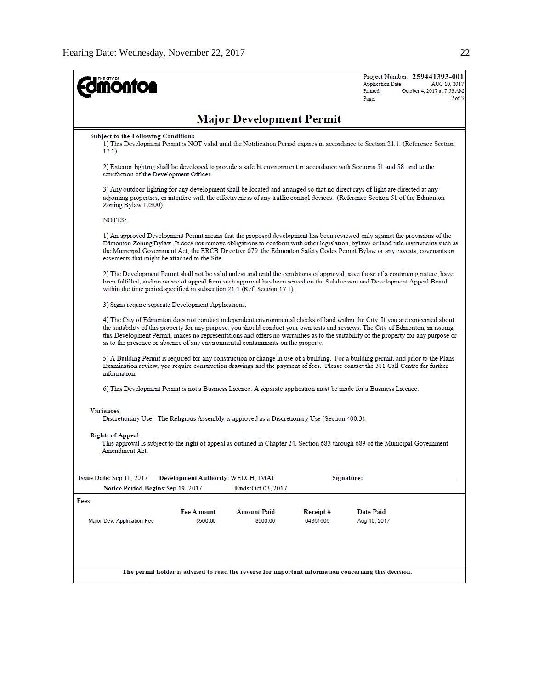| <b>onfon</b>                                            |                                    |                                                                                                |                      | Project Number: 259441393-001<br><b>Application Date:</b><br>Printed:<br>Page:                                                                                                                                                                                                                                                                                                                            | AUG 10, 2017<br>October 4, 2017 at 7:53 AM<br>$2$ of $3$ |
|---------------------------------------------------------|------------------------------------|------------------------------------------------------------------------------------------------|----------------------|-----------------------------------------------------------------------------------------------------------------------------------------------------------------------------------------------------------------------------------------------------------------------------------------------------------------------------------------------------------------------------------------------------------|----------------------------------------------------------|
|                                                         |                                    | <b>Major Development Permit</b>                                                                |                      |                                                                                                                                                                                                                                                                                                                                                                                                           |                                                          |
| <b>Subject to the Following Conditions</b><br>$17.1$ ). |                                    |                                                                                                |                      | 1) This Development Permit is NOT valid until the Notification Period expires in accordance to Section 21.1. (Reference Section                                                                                                                                                                                                                                                                           |                                                          |
| satisfaction of the Development Officer.                |                                    |                                                                                                |                      | 2) Exterior lighting shall be developed to provide a safe lit environment in accordance with Sections 51 and 58 and to the                                                                                                                                                                                                                                                                                |                                                          |
| Zoning Bylaw 12800).                                    |                                    |                                                                                                |                      | 3) Any outdoor lighting for any development shall be located and arranged so that no direct rays of light are directed at any<br>adjoining properties, or interfere with the effectiveness of any traffic control devices. (Reference Section 51 of the Edmonton                                                                                                                                          |                                                          |
| NOTES:                                                  |                                    |                                                                                                |                      |                                                                                                                                                                                                                                                                                                                                                                                                           |                                                          |
| easements that might be attached to the Site.           |                                    |                                                                                                |                      | 1) An approved Development Permit means that the proposed development has been reviewed only against the provisions of the<br>Edmonton Zoning Bylaw. It does not remove obligations to conform with other legislation, bylaws or land title instruments such as<br>the Municipal Government Act, the ERCB Directive 079, the Edmonton Safety Codes Permit Bylaw or any caveats, covenants or              |                                                          |
|                                                         |                                    | within the time period specified in subsection 21.1 (Ref. Section 17.1).                       |                      | 2) The Development Permit shall not be valid unless and until the conditions of approval, save those of a continuing nature, have<br>been fulfilled; and no notice of appeal from such approval has been served on the Subdivision and Development Appeal Board                                                                                                                                           |                                                          |
| 3) Signs require separate Development Applications.     |                                    |                                                                                                |                      |                                                                                                                                                                                                                                                                                                                                                                                                           |                                                          |
|                                                         |                                    | as to the presence or absence of any environmental contaminants on the property.               |                      | 4) The City of Edmonton does not conduct independent environmental checks of land within the City. If you are concerned about<br>the suitability of this property for any purpose, you should conduct your own tests and reviews. The City of Edmonton, in issuing<br>this Development Permit, makes no representations and offers no warranties as to the suitability of the property for any purpose or |                                                          |
| information.                                            |                                    |                                                                                                |                      | 5) A Building Permit is required for any construction or change in use of a building. For a building permit, and prior to the Plans<br>Examination review, you require construction drawings and the payment of fees. Please contact the 311 Call Centre for further                                                                                                                                      |                                                          |
|                                                         |                                    |                                                                                                |                      | 6) This Development Permit is not a Business Licence. A separate application must be made for a Business Licence.                                                                                                                                                                                                                                                                                         |                                                          |
| <b>Variances</b>                                        |                                    | Discretionary Use - The Religious Assembly is approved as a Discretionary Use (Section 400.3). |                      |                                                                                                                                                                                                                                                                                                                                                                                                           |                                                          |
| <b>Rights of Appeal</b><br>Amendment Act.               |                                    |                                                                                                |                      | This approval is subject to the right of appeal as outlined in Chapter 24, Section 683 through 689 of the Municipal Government                                                                                                                                                                                                                                                                            |                                                          |
| Issue Date: Sep 11, 2017                                | Development Authority: WELCH, IMAI |                                                                                                |                      | Signature: __                                                                                                                                                                                                                                                                                                                                                                                             |                                                          |
| Notice Period Begins: Sep 19, 2017<br>Fees              |                                    | <b>Ends:Oct 03, 2017</b>                                                                       |                      |                                                                                                                                                                                                                                                                                                                                                                                                           |                                                          |
| Major Dev. Application Fee                              | <b>Fee Amount</b><br>\$500.00      | <b>Amount Paid</b><br>\$500.00                                                                 | Receipt#<br>04361606 | Date Paid<br>Aug 10, 2017                                                                                                                                                                                                                                                                                                                                                                                 |                                                          |
|                                                         |                                    |                                                                                                |                      | The permit holder is advised to read the reverse for important information concerning this decision.                                                                                                                                                                                                                                                                                                      |                                                          |
|                                                         |                                    |                                                                                                |                      |                                                                                                                                                                                                                                                                                                                                                                                                           |                                                          |